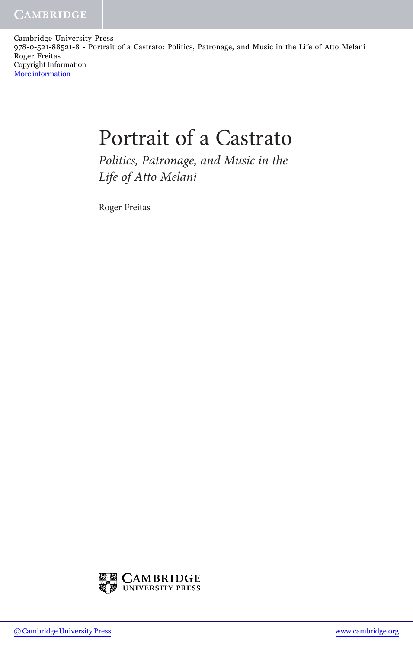Cambridge University Press 978-0-521-88521-8 - Portrait of a Castrato: Politics, Patronage, and Music in the Life of Atto Melani Roger Freitas Copyright Information [More information](http://www.cambridge.org/9780521885218)

## Portrait of a Castrato

Politics, Patronage, and Music in the Life of Atto Melani

Roger Freitas